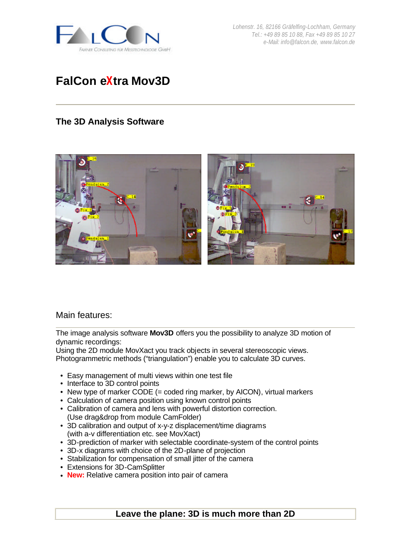

*Lohenstr. 16, 82166 Gräfelfing-Lochham, Germany Tel.: +49 89 85 10 88, Fax +49 89 85 10 27 e-Mail: info@falcon.de, www.falcon.de*

# **FalCon eXtra Mov3D**

## **The 3D Analysis Software**



#### Main features:

The image analysis software **Mov3D** offers you the possibility to analyze 3D motion of dynamic recordings:

Using the 2D module MovXact you track objects in several stereoscopic views. Photogrammetric methods ("triangulation") enable you to calculate 3D curves.

- Easy management of multi views within one test file
- Interface to 3D control points
- New type of marker CODE (= coded ring marker, by AICON), virtual markers
- Calculation of camera position using known control points
- Calibration of camera and lens with powerful distortion correction. (Use drag&drop from module CamFolder)
- 3D calibration and output of x-y-z displacement/time diagrams (with a-v differentiation etc. see MovXact)
- 3D-prediction of marker with selectable coordinate-system of the control points
- 3D-x diagrams with choice of the 2D-plane of projection
- Stabilization for compensation of small jitter of the camera
- Extensions for 3D-CamSplitter
- **New:** Relative camera position into pair of camera

## **Leave the plane: 3D is much more than 2D**